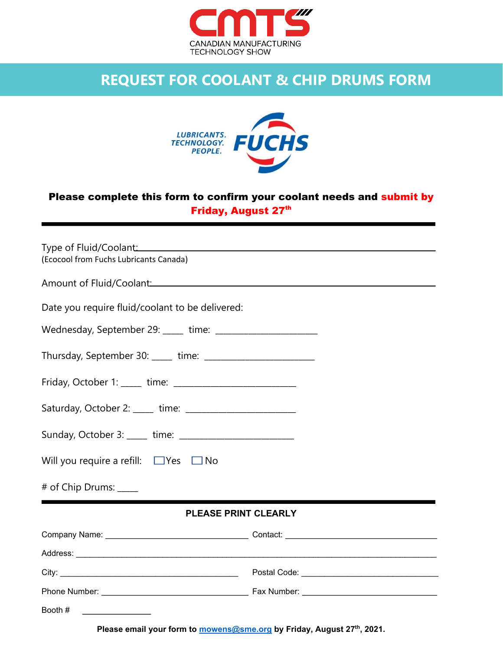

# **REQUEST FOR COOLANT & CHIP DRUMS FORM**



### Please complete this form to confirm your coolant needs and submit by Friday, August 27<sup>th</sup>

| Type of Fluid/Coolant: 2008 and 2008 and 2008 and 2008 and 2008 and 2008 and 2008 and 2008 and 2008 and 2008 a<br>(Ecocool from Fuchs Lubricants Canada) |  |  |  |  |
|----------------------------------------------------------------------------------------------------------------------------------------------------------|--|--|--|--|
| Amount of Fluid/Coolant: Amount of Fluid/Coolant:                                                                                                        |  |  |  |  |
| Date you require fluid/coolant to be delivered:                                                                                                          |  |  |  |  |
| Wednesday, September 29: _____ time: ________________________                                                                                            |  |  |  |  |
|                                                                                                                                                          |  |  |  |  |
|                                                                                                                                                          |  |  |  |  |
| Saturday, October 2: _____ time: ___________________________                                                                                             |  |  |  |  |
|                                                                                                                                                          |  |  |  |  |
| Will you require a refill: $\Box$ Yes $\Box$ No                                                                                                          |  |  |  |  |
| # of Chip Drums: $\frac{1}{1}$                                                                                                                           |  |  |  |  |
| PLEASE PRINT CLEARLY                                                                                                                                     |  |  |  |  |
|                                                                                                                                                          |  |  |  |  |
|                                                                                                                                                          |  |  |  |  |
|                                                                                                                                                          |  |  |  |  |
|                                                                                                                                                          |  |  |  |  |
| Booth #                                                                                                                                                  |  |  |  |  |

**Please email your form to mowens@sme.org by Friday, August 27th , 2021.**